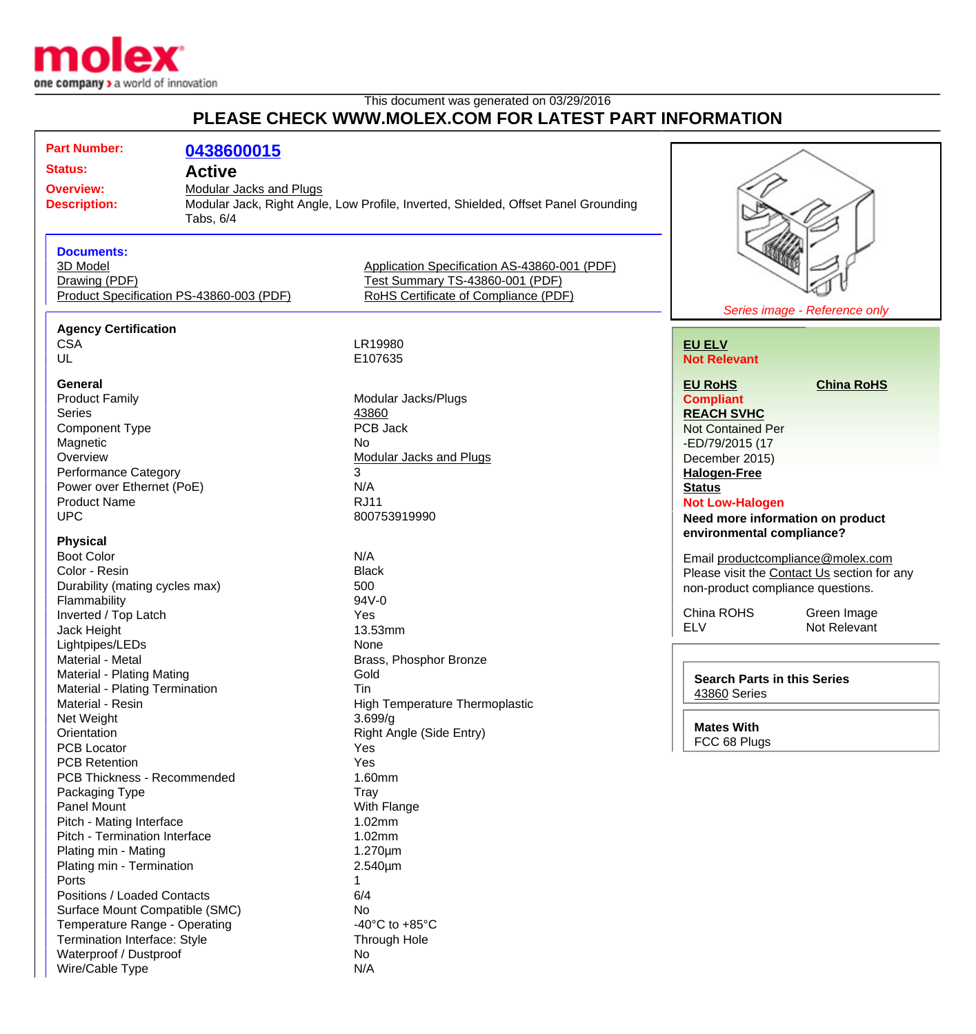

Wire/Cable Type N/A

### This document was generated on 03/29/2016 **PLEASE CHECK WWW.MOLEX.COM FOR LATEST PART INFORMATION**

| <b>Part Number:</b>                                                                    |            |                                                                                    |                                                                                  |                               |
|----------------------------------------------------------------------------------------|------------|------------------------------------------------------------------------------------|----------------------------------------------------------------------------------|-------------------------------|
|                                                                                        | 0438600015 |                                                                                    |                                                                                  |                               |
| <b>Status:</b><br><b>Active</b>                                                        |            |                                                                                    |                                                                                  |                               |
| <b>Overview:</b><br><b>Modular Jacks and Plugs</b><br><b>Description:</b><br>Tabs, 6/4 |            | Modular Jack, Right Angle, Low Profile, Inverted, Shielded, Offset Panel Grounding |                                                                                  |                               |
|                                                                                        |            |                                                                                    |                                                                                  |                               |
| <b>Documents:</b>                                                                      |            |                                                                                    |                                                                                  |                               |
| 3D Model                                                                               |            | Application Specification AS-43860-001 (PDF)                                       |                                                                                  |                               |
| Drawing (PDF)                                                                          |            | Test Summary TS-43860-001 (PDF)                                                    |                                                                                  |                               |
| Product Specification PS-43860-003 (PDF)                                               |            | RoHS Certificate of Compliance (PDF)                                               |                                                                                  |                               |
|                                                                                        |            |                                                                                    |                                                                                  | Series image - Reference only |
| <b>Agency Certification</b>                                                            |            |                                                                                    |                                                                                  |                               |
| <b>CSA</b>                                                                             |            | LR19980                                                                            | <b>EU ELV</b>                                                                    |                               |
| UL                                                                                     |            | E107635                                                                            | <b>Not Relevant</b>                                                              |                               |
|                                                                                        |            |                                                                                    |                                                                                  |                               |
| General<br><b>Product Family</b>                                                       |            |                                                                                    | <b>EU RoHS</b>                                                                   | <b>China RoHS</b>             |
| <b>Series</b>                                                                          |            | Modular Jacks/Plugs<br>43860                                                       | <b>Compliant</b>                                                                 |                               |
| <b>Component Type</b>                                                                  |            | PCB Jack                                                                           | <b>REACH SVHC</b><br><b>Not Contained Per</b>                                    |                               |
| Magnetic                                                                               |            | No                                                                                 |                                                                                  |                               |
| Overview                                                                               |            | <b>Modular Jacks and Plugs</b>                                                     | -ED/79/2015 (17<br>December 2015)                                                |                               |
| Performance Category                                                                   |            | 3                                                                                  | <b>Halogen-Free</b>                                                              |                               |
| Power over Ethernet (PoE)                                                              |            | N/A                                                                                | <b>Status</b>                                                                    |                               |
| <b>Product Name</b>                                                                    |            | <b>RJ11</b>                                                                        | <b>Not Low-Halogen</b>                                                           |                               |
| <b>UPC</b>                                                                             |            | 800753919990                                                                       | Need more information on product                                                 |                               |
|                                                                                        |            |                                                                                    | environmental compliance?                                                        |                               |
| <b>Physical</b>                                                                        |            |                                                                                    |                                                                                  |                               |
| <b>Boot Color</b>                                                                      |            | N/A                                                                                | Email productcompliance@molex.com<br>Please visit the Contact Us section for any |                               |
| Color - Resin                                                                          |            | <b>Black</b>                                                                       |                                                                                  |                               |
| Durability (mating cycles max)                                                         |            | 500                                                                                | non-product compliance questions.                                                |                               |
| Flammability                                                                           |            | 94V-0                                                                              |                                                                                  |                               |
| Inverted / Top Latch                                                                   |            | Yes                                                                                | China ROHS                                                                       | Green Image                   |
| Jack Height                                                                            |            | 13.53mm                                                                            | <b>ELV</b>                                                                       | Not Relevant                  |
| Lightpipes/LEDs                                                                        |            | None                                                                               |                                                                                  |                               |
| Material - Metal                                                                       |            | Brass, Phosphor Bronze                                                             |                                                                                  |                               |
| Material - Plating Mating                                                              |            | Gold                                                                               | <b>Search Parts in this Series</b>                                               |                               |
| Material - Plating Termination                                                         |            | Tin                                                                                | 43860 Series                                                                     |                               |
| Material - Resin<br>Net Weight                                                         |            | <b>High Temperature Thermoplastic</b>                                              |                                                                                  |                               |
| Orientation                                                                            |            | 3.699/g<br>Right Angle (Side Entry)                                                | <b>Mates With</b>                                                                |                               |
| <b>PCB Locator</b>                                                                     |            | Yes                                                                                | FCC 68 Plugs                                                                     |                               |
| <b>PCB Retention</b>                                                                   |            | Yes                                                                                |                                                                                  |                               |
| PCB Thickness - Recommended                                                            |            | 1.60mm                                                                             |                                                                                  |                               |
| Packaging Type                                                                         |            | Tray                                                                               |                                                                                  |                               |
| Panel Mount                                                                            |            | With Flange                                                                        |                                                                                  |                               |
| Pitch - Mating Interface                                                               |            | 1.02mm                                                                             |                                                                                  |                               |
| Pitch - Termination Interface                                                          |            | 1.02mm                                                                             |                                                                                  |                               |
| Plating min - Mating                                                                   |            | 1.270µm                                                                            |                                                                                  |                               |
| Plating min - Termination                                                              |            | 2.540µm                                                                            |                                                                                  |                               |
| Ports                                                                                  |            | 1                                                                                  |                                                                                  |                               |
| Positions / Loaded Contacts                                                            |            | 6/4                                                                                |                                                                                  |                               |
| Surface Mount Compatible (SMC)                                                         |            | No.                                                                                |                                                                                  |                               |
| Temperature Range - Operating                                                          |            | -40 $^{\circ}$ C to +85 $^{\circ}$ C                                               |                                                                                  |                               |
| Termination Interface: Style                                                           |            | Through Hole                                                                       |                                                                                  |                               |
| Waterproof / Dustproof                                                                 |            | No                                                                                 |                                                                                  |                               |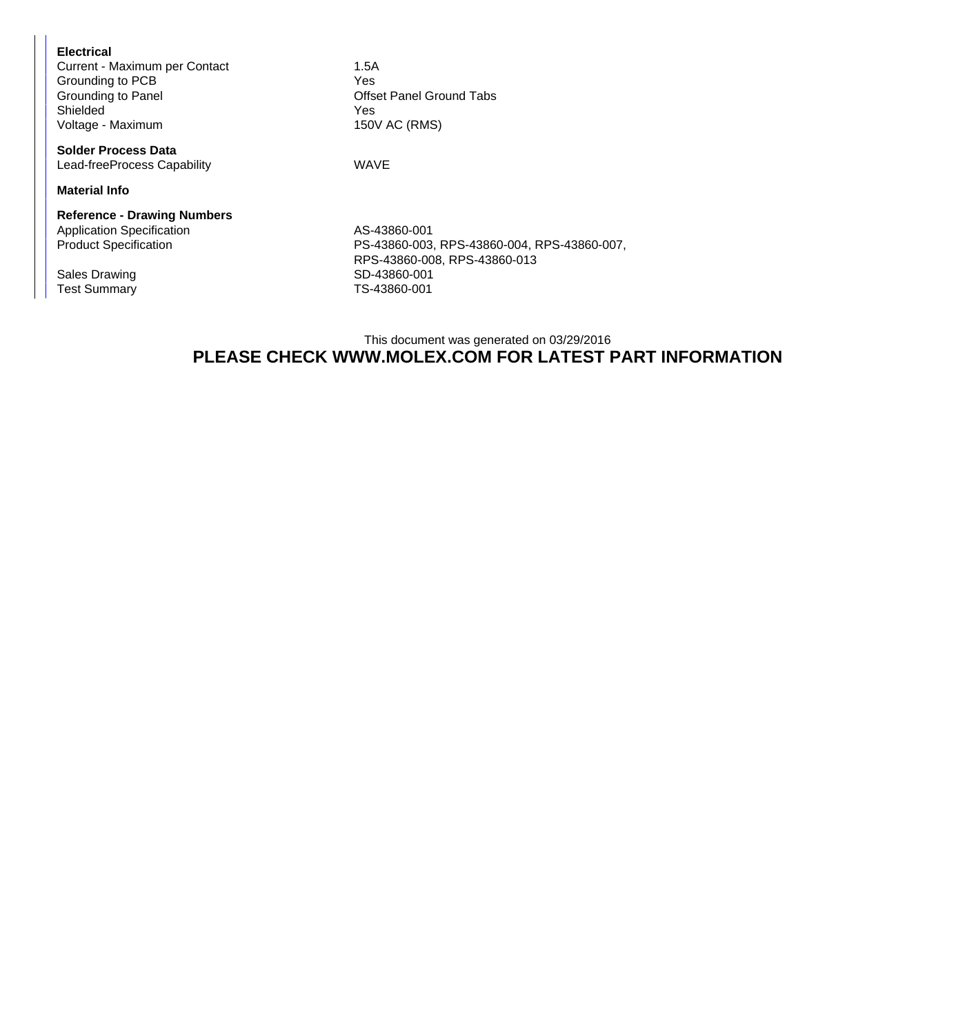#### **Electrical**

Current - Maximum per Contact 1.5A Grounding to PCB<br>
Grounding to Panel<br>
Offse Shielded Yes Voltage - Maximum 150V AC (RMS)

**Solder Process Data** Lead-freeProcess Capability **WAVE** 

**Material Info**

## **Reference - Drawing Numbers**

Application Specification AS-43860-001<br>Product Specification AS-43860-003

Test Summary

Offset Panel Ground Tabs

PS-43860-003, RPS-43860-004, RPS-43860-007, RPS-43860-008, RPS-43860-013 Sales Drawing Sales Drawing SD-43860-001<br>Test Summary SD-43860-001

### This document was generated on 03/29/2016 **PLEASE CHECK WWW.MOLEX.COM FOR LATEST PART INFORMATION**